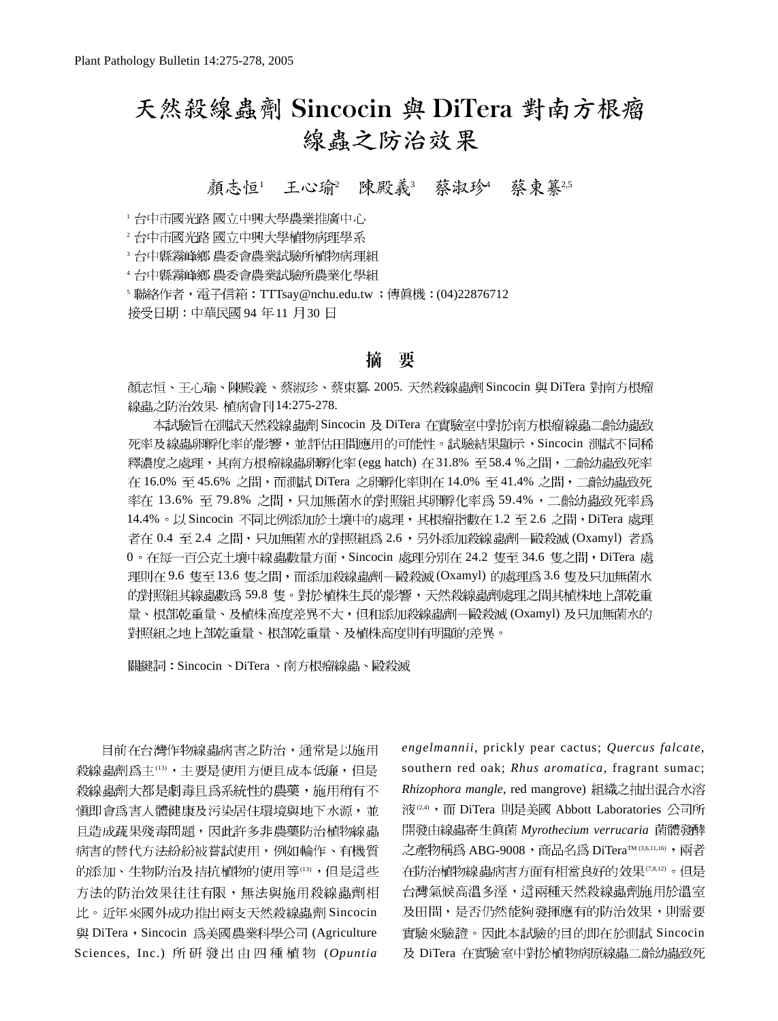# 天然殺線蟲劑 Sincocin 與 DiTera 對南方根瘤 線蟲之防治效果

顏志恒<sup>1</sup> 王心瑜<sup>2</sup> 陳殿義3 蔡淑珍4 蔡東纂25

<sup>1</sup> 台中市國光路 國立中興大學農業推廣中心

2 台中市國光路 國立中興大學植物病理學系

<sup>3</sup> 台中縣霧峰鄉 農委會農業試驗所植物病理組

4 台中縣霧峰鄉 農委會農業試驗所農業化學組

5 聯絡作者,電子信箱:TTTsay@nchu.edu.tw ; 傳真機:(04)22876712

接受日期:中華民國 94年11月30日

## 摘 要

顏志恒、王心瑜、陳殿義、蔡淑珍、蔡東纂 2005. 天然殺線蟲劑 Sincocin 與 DiTera 對南方根瘤 線蟲之防治效果. 植病會刊14:275-278.

本試驗旨在測試天然殺線蟲劑 Sincocin 及 DiTera 在實驗室中對於南方根瘤線蟲二齡幼蟲致 死率及線蟲卵孵化率的影響,並評估田間應用的可能性。試驗結果顯示,Sincocin 測試不同稀 釋濃度之處理,其南方根瘤線蟲卵孵化率(egg hatch) 在 31.8% 至 58.4 %之間,二齡幼蟲致死率 在 16.0% 至 45.6% 之間,而測試 DiTera 之卵孵化率則在 14.0% 至 41.4% 之間,二齡幼蟲致死 率在 13.6% 至 79.8% 之間,只加無菌水的對照組其卵孵化率為 59.4%,二齡幼蟲致死率為 14.4%。以 Sincocin 不同比例添加於土壤中的處理,其根瘤指數在1.2 至 2.6 之間,DiTera 處理 者在 0.4 至 2.4 之間,只加無菌水的對照組為 2.6,另外添加殺線蟲劑一毆殺滅 (Oxamyl) 者為 0。在每一百公克土壤中線蟲數量方面,Sincocin 處理分別在 24.2 隻至 34.6 隻之間,DiTera 處 理則在 9.6 隻至 13.6 隻之間,而添加殺線蟲劑―毆殺滅 (Oxamyl) 的處理為 3.6 隻及只加無菌水 的對照組其線蟲數為 59.8 隻。對於植株生長的影響,天然殺線蟲劑處理之間其植株地上部乾重 量、根部乾重量、及植株高度差異不大,但和添加殺線蟲劑一毆殺滅 (Oxamyl) 及只加無菌水的 對照組之地上部乾重量、根部乾重量、及植株高度則有明顯的差異。

關鍵詞: Sincocin、DiTera、南方根瘤線蟲、毆殺滅

目前在台灣作物線蟲病害之防治,通常是以施用 殺線蟲劑為主(13),主要是使用方便且成本低廉,但是 殺線蟲劑大都是劇毒且為系統性的農藥,施用稍有不 慎即會為害人體健康及污染居住環境與地下水源,並 且造成蔬果殘毒問題,因此許多非農藥防治植物線蟲 病害的替代方法紛紛被嘗試使用,例如輪作、有機質 的添加、生物防治及拮抗植物的使用等(13),但是這些 方法的防治效果往往有限,無法與施用殺線蟲劑相 比。近年來國外成功推出兩支天然殺線蟲劑 Sincocin 與 DiTera, Sincocin 為美國農業科學公司 (Agriculture Sciences, Inc.) 所研發出由四種植物 (Opuntia

*engelmannii*, prickly pear cactus; *Quercus falcate*, southern red oak; *Rhus aromatica*, fragrant sumac; *Rhizophora mangle*, red mangrove) 液<sup>(2,4)</sup>, 而 DiTera 則是美國 Abbott Laboratories 公司所 開發由線蟲寄生真菌 Myrothecium verrucaria 菌體發酵 之產物稱為 ABG-9008, 商品名為 DiTera™(3,6,11,16), 兩者 在防治植物線蟲病害方面有相當良好的效果(7,8,12)。但是 台灣氣候高溫多溼,這兩種天然殺線蟲劑施用於溫室 及田間,是否仍然能夠發揮應有的防治效果,則需要 實驗來驗證。因此本試驗的目的即在於測試 Sincocin 及 DiTera 在實驗室中對於植物病原線蟲二齡幼蟲致死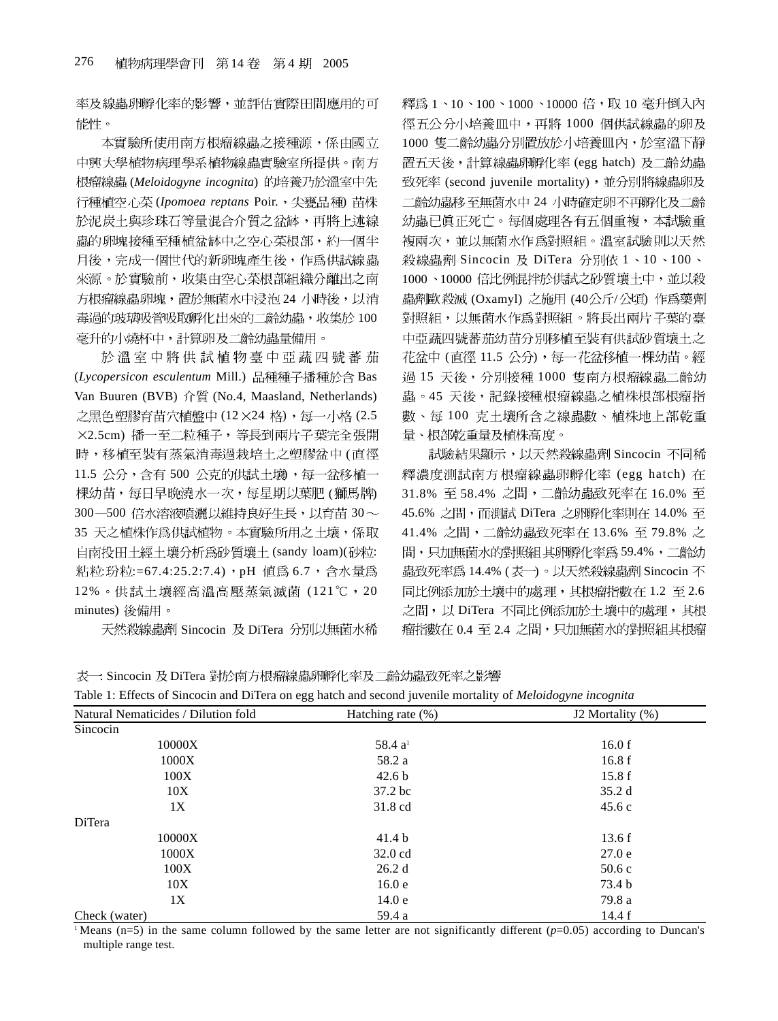率及線蟲卵孵化率的影響,並評估實際田間應用的可 能性。

本實驗所使用南方根瘤線蟲之接種源,係由國立 中興大學植物病理學系植物線蟲實驗室所提供。南方 (*Meloidogyne incognita*) (*Ipomoea reptans* Poir. ) 於泥炭土與珍珠石等量混合介質之盆缽,再將上述線 蟲的卵塊接種至種植盆缽中之空心菜根部,約一個半 月後,完成一個世代的新卵塊產生後,作為供試線蟲 來源。於實驗前,收集由空心菜根部組織分離出之南 方根瘤線蟲卵塊,置於無菌水中浸泡 24 小時後,以消 毒過的玻璃吸管吸取孵化出來的二齡幼蟲,收集於100 毫升的小燒杯中,計算卵及二齡幼蟲量備用。

於溫室中將供試植物臺中亞蔬四號蕃茄 (Lycopersicon esculentum Mill.) 品種種子播種於含 Bas Van Buuren (BVB) 介質 (No.4, Maasland, Netherlands) 之黑色塑膠育苗穴植盤中 (12×24 格),每一小格 (2.5 ×2.5cm) 播一至二粒種子, 等長到兩片子葉完全張開 時,移植至裝有蒸氣消毒過栽培土之塑膠盆中(直徑 11.5 公分,含有500 公克的供試土壤,每一盆移植一 棵幼苗,每日早晚澆水一次,每星期以葉肥 (獅馬牌) 300-500 倍水溶液噴灑以維持良好生長,以育苗30~ 35 天之植株作為供試植物。本實驗所用之土壤,係取 自南投田土經土壤分析為砂質壤土 (sandy loam)(砂粒: 粘粒: 玢粒: =67.4:25.2:7.4), pH 值為 6.7, 含水量為 12%。供試土壤經高溫高壓蒸氣滅菌(121℃,20 minutes) 後備用。

天然殺線蟲劑 Sincocin 及 DiTera 分別以無菌水稀

釋為 1、10、100、1000、10000 倍,取 10 毫升倒入內 徑五公分小培養皿中,再將 1000 個供試線蟲的卵及 1000 隻二齡幼蟲分別置放於小培養皿內,於室溫下靜 置五天後,計算線蟲卵孵化率 (egg hatch) 及二齡幼蟲 致死率 (second juvenile mortality), 並分別將線蟲卵及 二齡幼蟲移至無菌水中 24 小時確定卵不再孵化及二齡 幼蟲已真正死亡。每個處理各有五個重複,本試驗重 複兩次,並以無菌水作爲對照組。溫室試驗則以天然 殺線蟲劑 Sincocin 及 DiTera 分別依 1、10、100、 1000、10000 倍比例混拌於供試之砂質壤土中,並以殺 蟲劑歐殺滅 (Oxamyl) 之施用 (40公斤/公頃) 作爲藥劑 對照組,以無菌水作為對照組。將長出兩片子葉的臺 中亞蔬四號蕃茄幼苗分別移植至裝有供試砂質壤土之 花盆中 (直徑 11.5 公分),每一花盆移植一棵幼苗。經 過 15 天後,分別接種 1000 隻南方根瘤線蟲二齡幼 蟲。45 天後,記錄接種根瘤線蟲之植株根部根瘤指 數、每100 克土壤所含之線蟲數、植株地上部乾重 量、根部乾重量及植株高度。

試驗結果顯示,以天然殺線蟲劑 Sincocin 不同稀 釋濃度測試南方根瘤線蟲卵孵化率 (egg hatch) 在 31.8% 至 58.4% 之間,二齡幼蟲致死率在 16.0% 至 45.6% 之間,而測試 DiTera 之卵孵化率則在 14.0% 至 41.4% 之間,二齡幼蟲致死率在 13.6% 至 79.8% 之 間,只加無菌水的對照組其卵孵化率為59.4%,二齡幼 蟲致死率為 14.4% (表一)。以天然殺線蟲劑 Sincocin 不 同比例添加於土壤中的處理,其根瘤指數在1.2至2.6 之間,以 DiTera 不同比例添加於土壤中的處理, 其根 瘤指數在 0.4 至 2.4 之間,只加無菌水的對照組其根瘤

表一: Sincocin 及 DiTera 對於南方根瘤線蟲卵孵化率及二齡幼蟲致死率之影響

| Table 1: Effects of Sincocin and DiTera on egg hatch and second juvenile mortality of Meloidogyne incognita |  |  |  |
|-------------------------------------------------------------------------------------------------------------|--|--|--|
|                                                                                                             |  |  |  |

|                                     | ັ                   | $\ddotsc$        |
|-------------------------------------|---------------------|------------------|
| Natural Nematicides / Dilution fold | Hatching rate (%)   | J2 Mortality (%) |
| Sincocin                            |                     |                  |
| 10000X                              | 58.4 a <sup>1</sup> | 16.0 f           |
| 1000X                               | 58.2 a              | 16.8f            |
| 100X                                | 42.6 <sub>b</sub>   | 15.8f            |
| 10X                                 | 37.2 bc             | 35.2d            |
| 1X                                  | 31.8 cd             | 45.6c            |
| DiTera                              |                     |                  |
| 10000X                              | 41.4 <sub>b</sub>   | 13.6f            |
| 1000X                               | $32.0 \text{ cd}$   | 27.0e            |
| 100X                                | 26.2d               | 50.6c            |
| 10X                                 | 16.0 <sub>e</sub>   | 73.4 b           |
| 1X                                  | 14.0 <sub>e</sub>   | 79.8 a           |
| Check (water)                       | 59.4 a              | 14.4 f           |

<sup>1</sup> Means (n=5) in the same column followed by the same letter are not significantly different ( $p=0.05$ ) according to Duncan's multiple range test.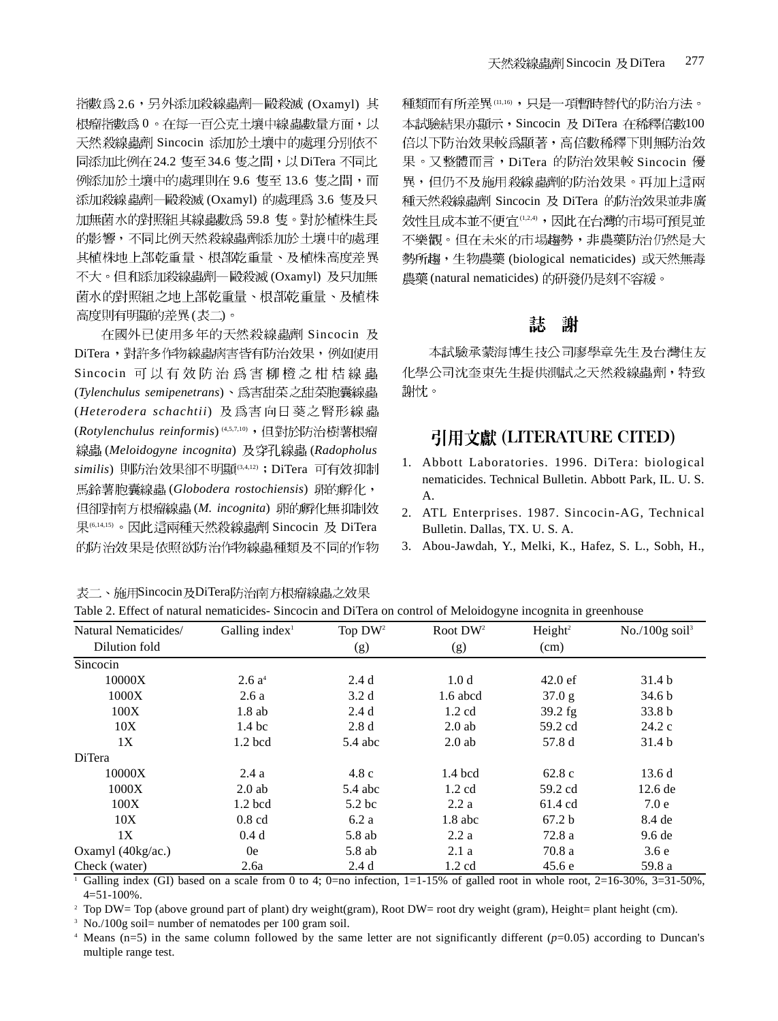指數為 2.6,另外添加殺線蟲劑–毆殺滅 (Oxamyl) 其 根瘤指數為0。在每一百公克土壤中線蟲數量方面,以 天然 殺線蟲劑 Sincocin 添加於土壤中的處理分別依不 同添加比例在 24.2 隻至 34.6 隻之間, 以 DiTera 不同比 例添加於土壤中的處理則在 9.6 隻至 13.6 隻之間,而 添加殺線蟲劑–殿殺滅 (Oxamyl) 的處理為 3.6 隻及只 加無菌水的對照組其線蟲數為59.8隻。對於植株生長 的影響,不同比例天然殺線蟲劑添加於土壤中的處理 其植株地上部乾重量、根部乾重量、及植株高度差異 不大。但和添加殺線蟲劑―毆殺滅 (Oxamyl) 及只加無 菌水的對照組之地上部乾重量、根部乾重量、及植株 高度則有明顯的差異(表二)。

在國外已使用多年的天然殺線蟲劑 Sincocin 及 DiTera, 對許多作物線蟲病害皆有防治效果, 例如使用 Sincocin 可以有效防治為害柳橙之柑桔線蟲 (*Tylenchulus semipenetrans*) (*Heterodera schachtii*) (Rotylenchulus reinformis)<sup>(4,5,7,10)</sup>,但對於防治樹薯根瘤 (*Meloidogyne incognita*) (*Radopholus* similis) 則防治效果卻不明顯(3,4,12); DiTera 可有效抑制 (*Globodera rostochiensis*) 但卻對南方根瘤線蟲(M. incognita) 卵的孵化無抑制效 果(6,14,15) 。因此這兩種天然殺線蟲劑 Sincocin 及 DiTera 的防治效果是依照欲防治作物線蟲種類及不同的作物

表二、施用Sincocin及DiTera防治南方根瘤線蟲之效果

種類而有所差異(11,16),只是一項暫時替代的防治方法。 本試驗結果亦顯示, Sincocin 及 DiTera 在稀釋倍數100 倍以下防治效果較為顯著,高倍數稀釋下則無防治效 果。又整體而言, DiTera 的防治效果較 Sincocin 優 異,但仍不及施用殺線蟲劑的防治效果。再加上這兩 種天然殺線蟲劑 Sincocin 及 DiTera 的防治效果並非廣 效性且成本並不便宜(1,2,4),因此在台灣的市場可預見並 不樂觀。但在未來的市場趨勢,非農藥防治仍然是大 勢所趨,生物農藥 (biological nematicides) 或天然無毒 農藥 (natural nematicides) 的研發仍是刻不容緩。

#### 誌 謝

本試驗承蒙海博生技公司廖學章先生及台灣住友 化學公司沈奎東先生提供測試之天然殺線蟲劑,特致 謝忱。

## 引用文獻 (LITERATURE CITED)

- 1. Abbott Laboratories. 1996. DiTera: biological nematicides. Technical Bulletin. Abbott Park, IL. U. S. A.
- 2. ATL Enterprises. 1987. Sincocin-AG, Technical Bulletin. Dallas, TX. U. S. A.
- 3. Abou-Jawdah, Y., Melki, K., Hafez, S. L., Sobh, H.,

| Natural Nematicides/              | Galling index $l$ | Top DW <sup>2</sup> | Root $DW^2$      | Height <sup>2</sup> | No./100g soil $3$ |
|-----------------------------------|-------------------|---------------------|------------------|---------------------|-------------------|
| Dilution fold                     |                   | (g)                 | (g)              | (cm)                |                   |
| Sincocin                          |                   |                     |                  |                     |                   |
| 10000X                            | 2.6a <sup>4</sup> | 2.4d                | 1.0 <sub>d</sub> | $42.0 \text{ ef}$   | 31.4 <sub>b</sub> |
| 1000X                             | 2.6a              | 3.2d                | $1.6$ abcd       | 37.0 g              | 34.6 <sub>b</sub> |
| 100X                              | $1.8$ ab          | 2.4d                | $1.2 \text{ cd}$ | $39.2$ fg           | 33.8 <sub>b</sub> |
| 10X                               | 1.4 <sub>bc</sub> | 2.8d                | $2.0$ ab         | 59.2 cd             | 24.2c             |
| 1X                                | $1.2$ bcd         | $5.4$ abc           | $2.0$ ab         | 57.8 d              | 31.4 <sub>b</sub> |
| DiTera                            |                   |                     |                  |                     |                   |
| 10000X                            | 2.4a              | 4.8c                | $1.4$ bcd        | 62.8c               | 13.6d             |
| 1000X                             | $2.0$ ab          | $5.4$ abc           | $1.2 \text{ cd}$ | 59.2 cd             | $12.6$ de         |
| 100X                              | $1.2$ bcd         | 5.2 <sub>bc</sub>   | 2.2a             | 61.4 cd             | 7.0e              |
| 10X                               | $0.8$ cd          | 6.2a                | $1.8$ abc        | 67.2 <sub>b</sub>   | 8.4 de            |
| 1X                                | 0.4d              | 5.8 ab              | 2.2a             | 72.8a               | 9.6 <sub>de</sub> |
| Oxamyl $(40\text{kg}/\text{ac.})$ | 0e                | 5.8 ab              | 2.1a             | 70.8 a              | 3.6e              |
| Check (water)                     | 2.6a              | 2.4d                | $1.2 \text{ cd}$ | 45.6e               | 59.8 a            |

Table 2. Effect of natural nematicides- Sincocin and DiTera on control of Meloidogyne incognita in greenhouse

<sup>1</sup> Galling index (GI) based on a scale from 0 to 4; 0=no infection, 1=1-15% of galled root in whole root, 2=16-30%, 3=31-50%, 4=51-100%.

<sup>2</sup> Top DW= Top (above ground part of plant) dry weight(gram), Root DW= root dry weight (gram), Height= plant height (cm).

<sup>3</sup> No./100g soil= number of nematodes per 100 gram soil.

 $4$  Means (n=5) in the same column followed by the same letter are not significantly different ( $p=0.05$ ) according to Duncan's multiple range test.